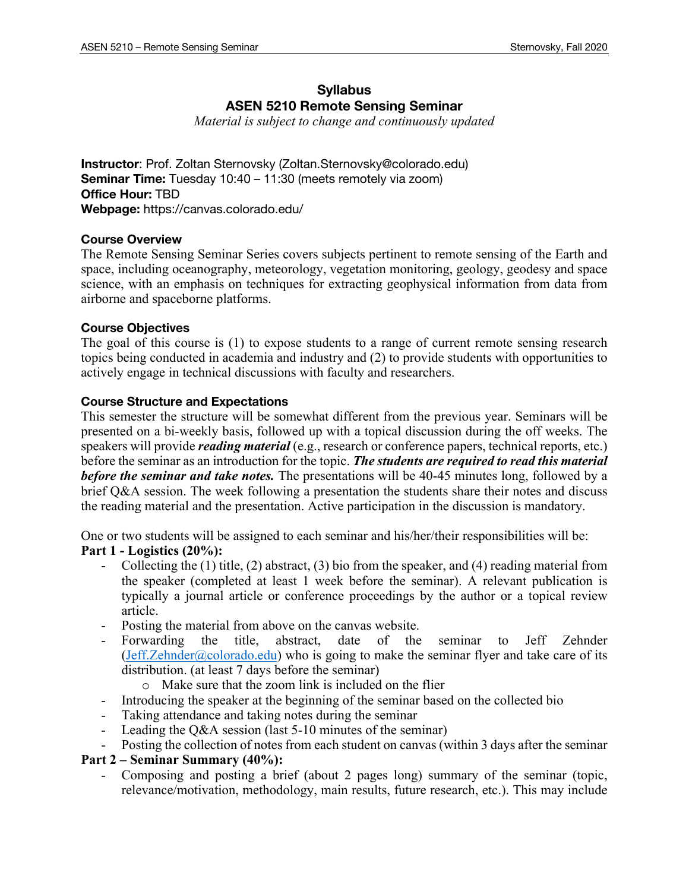## **Syllabus ASEN 5210 Remote Sensing Seminar**

*Material is subject to change and continuously updated* 

**Instructor**: Prof. Zoltan Sternovsky (Zoltan.Sternovsky@colorado.edu) **Seminar Time:** Tuesday 10:40 – 11:30 (meets remotely via zoom) **Office Hour:** TBD **Webpage:** https://canvas.colorado.edu/

## **Course Overview**

The Remote Sensing Seminar Series covers subjects pertinent to remote sensing of the Earth and space, including oceanography, meteorology, vegetation monitoring, geology, geodesy and space science, with an emphasis on techniques for extracting geophysical information from data from airborne and spaceborne platforms.

## **Course Objectives**

The goal of this course is (1) to expose students to a range of current remote sensing research topics being conducted in academia and industry and (2) to provide students with opportunities to actively engage in technical discussions with faculty and researchers.

## **Course Structure and Expectations**

This semester the structure will be somewhat different from the previous year. Seminars will be presented on a bi-weekly basis, followed up with a topical discussion during the off weeks. The speakers will provide *reading material* (e.g., research or conference papers, technical reports, etc.) before the seminar as an introduction for the topic. *The students are required to read this material before the seminar and take notes.* The presentations will be 40-45 minutes long, followed by a brief Q&A session. The week following a presentation the students share their notes and discuss the reading material and the presentation. Active participation in the discussion is mandatory.

One or two students will be assigned to each seminar and his/her/their responsibilities will be: **Part 1 - Logistics (20%):**

- Collecting the (1) title, (2) abstract, (3) bio from the speaker, and (4) reading material from the speaker (completed at least 1 week before the seminar). A relevant publication is typically a journal article or conference proceedings by the author or a topical review article.
- Posting the material from above on the canvas website.
- Forwarding the title, abstract, date of the seminar to Jeff Zehnder  $(Jeff.Zehnder@colorado.edu)$  who is going to make the seminar flyer and take care of its distribution. (at least 7 days before the seminar)
	- o Make sure that the zoom link is included on the flier
- Introducing the speaker at the beginning of the seminar based on the collected bio
- Taking attendance and taking notes during the seminar
- Leading the Q&A session (last 5-10 minutes of the seminar)
- Posting the collection of notes from each student on canvas (within 3 days after the seminar

## **Part 2 – Seminar Summary (40%):**

- Composing and posting a brief (about 2 pages long) summary of the seminar (topic, relevance/motivation, methodology, main results, future research, etc.). This may include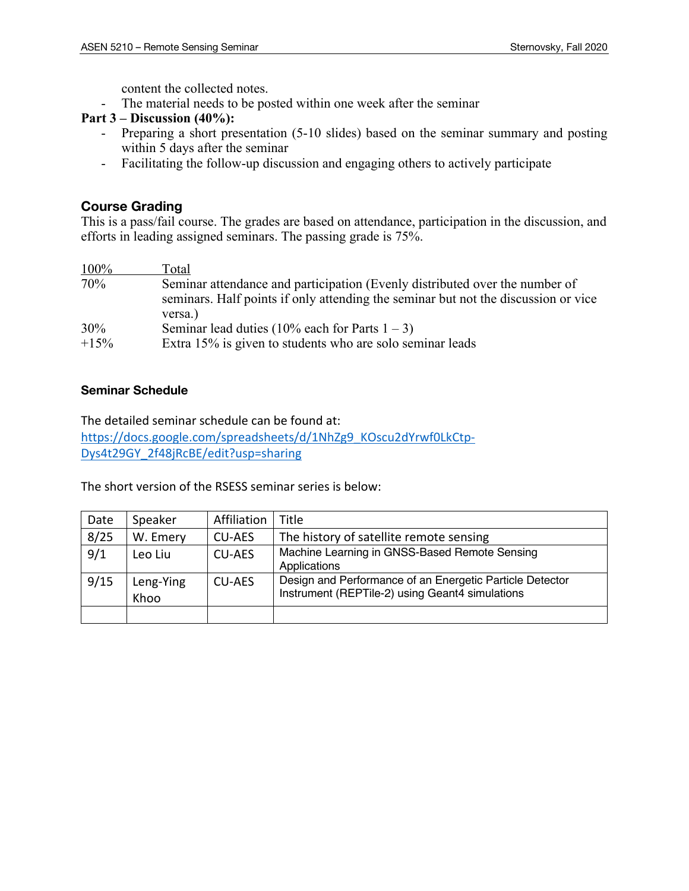content the collected notes.

- The material needs to be posted within one week after the seminar

## **Part 3 – Discussion (40%):**

- Preparing a short presentation (5-10 slides) based on the seminar summary and posting within 5 days after the seminar
- Facilitating the follow-up discussion and engaging others to actively participate

## **Course Grading**

This is a pass/fail course. The grades are based on attendance, participation in the discussion, and efforts in leading assigned seminars. The passing grade is 75%.

| 100%   | Total                                                                                                                                                             |
|--------|-------------------------------------------------------------------------------------------------------------------------------------------------------------------|
| 70%    | Seminar attendance and participation (Evenly distributed over the number of<br>seminars. Half points if only attending the seminar but not the discussion or vice |
| 30%    | versa.)<br>Seminar lead duties (10% each for Parts $1 - 3$ )                                                                                                      |
| $+15%$ | Extra 15% is given to students who are solo seminar leads                                                                                                         |

## **Seminar Schedule**

The detailed seminar schedule can be found at: https://docs.google.com/spreadsheets/d/1NhZg9\_KOscu2dYrwf0LkCtp-Dys4t29GY\_2f48jRcBE/edit?usp=sharing

The short version of the RSESS seminar series is below:

| Date | Speaker           | Affiliation   | Title                                                                                                       |
|------|-------------------|---------------|-------------------------------------------------------------------------------------------------------------|
| 8/25 | W. Emery          | <b>CU-AES</b> | The history of satellite remote sensing                                                                     |
| 9/1  | Leo Liu           | <b>CU-AES</b> | Machine Learning in GNSS-Based Remote Sensing<br>Applications                                               |
| 9/15 | Leng-Ying<br>Khoo | <b>CU-AES</b> | Design and Performance of an Energetic Particle Detector<br>Instrument (REPTile-2) using Geant4 simulations |
|      |                   |               |                                                                                                             |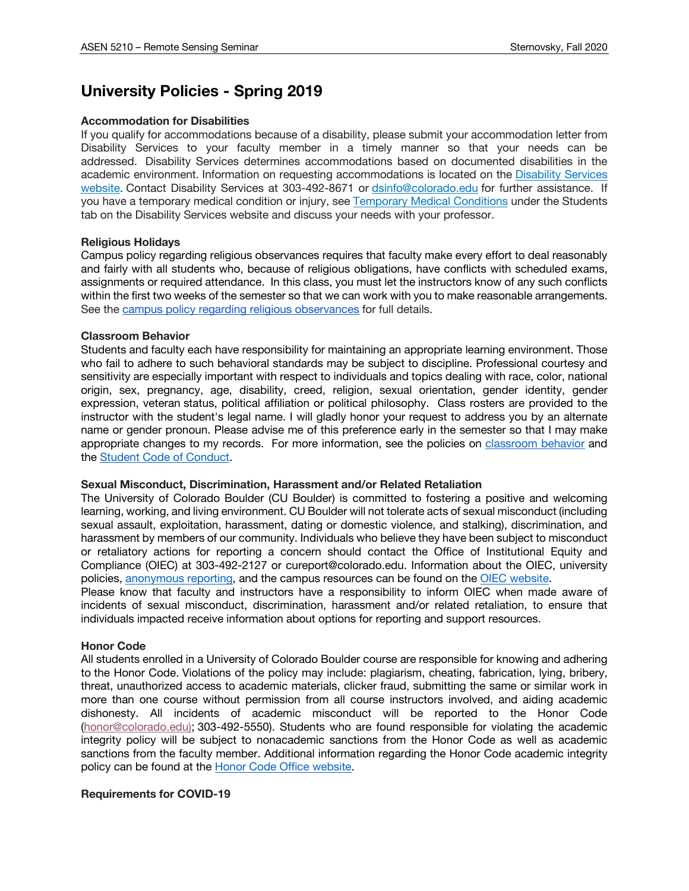# **University Policies - Spring 2019**

### **Accommodation for Disabilities**

If you qualify for accommodations because of a disability, please submit your accommodation letter from Disability Services to your faculty member in a timely manner so that your needs can be addressed. Disability Services determines accommodations based on documented disabilities in the academic environment. Information on requesting accommodations is located on the Disability Services website. Contact Disability Services at 303-492-8671 or dsinfo@colorado.edu for further assistance. If you have a temporary medical condition or injury, see Temporary Medical Conditions under the Students tab on the Disability Services website and discuss your needs with your professor.

### **Religious Holidays**

Campus policy regarding religious observances requires that faculty make every effort to deal reasonably and fairly with all students who, because of religious obligations, have conflicts with scheduled exams, assignments or required attendance. In this class, you must let the instructors know of any such conflicts within the first two weeks of the semester so that we can work with you to make reasonable arrangements. See the campus policy regarding religious observances for full details.

### **Classroom Behavior**

Students and faculty each have responsibility for maintaining an appropriate learning environment. Those who fail to adhere to such behavioral standards may be subject to discipline. Professional courtesy and sensitivity are especially important with respect to individuals and topics dealing with race, color, national origin, sex, pregnancy, age, disability, creed, religion, sexual orientation, gender identity, gender expression, veteran status, political affiliation or political philosophy. Class rosters are provided to the instructor with the student's legal name. I will gladly honor your request to address you by an alternate name or gender pronoun. Please advise me of this preference early in the semester so that I may make appropriate changes to my records. For more information, see the policies on classroom behavior and the Student Code of Conduct.

### **Sexual Misconduct, Discrimination, Harassment and/or Related Retaliation**

The University of Colorado Boulder (CU Boulder) is committed to fostering a positive and welcoming learning, working, and living environment. CU Boulder will not tolerate acts of sexual misconduct (including sexual assault, exploitation, harassment, dating or domestic violence, and stalking), discrimination, and harassment by members of our community. Individuals who believe they have been subject to misconduct or retaliatory actions for reporting a concern should contact the Office of Institutional Equity and Compliance (OIEC) at 303-492-2127 or cureport@colorado.edu. Information about the OIEC, university policies, anonymous reporting, and the campus resources can be found on the OIEC website.

Please know that faculty and instructors have a responsibility to inform OIEC when made aware of incidents of sexual misconduct, discrimination, harassment and/or related retaliation, to ensure that individuals impacted receive information about options for reporting and support resources.

### **Honor Code**

All students enrolled in a University of Colorado Boulder course are responsible for knowing and adhering to the Honor Code. Violations of the policy may include: plagiarism, cheating, fabrication, lying, bribery, threat, unauthorized access to academic materials, clicker fraud, submitting the same or similar work in more than one course without permission from all course instructors involved, and aiding academic dishonesty. All incidents of academic misconduct will be reported to the Honor Code (honor@colorado.edu); 303-492-5550). Students who are found responsible for violating the academic integrity policy will be subject to nonacademic sanctions from the Honor Code as well as academic sanctions from the faculty member. Additional information regarding the Honor Code academic integrity policy can be found at the **Honor Code Office website**.

### **Requirements for COVID-19**